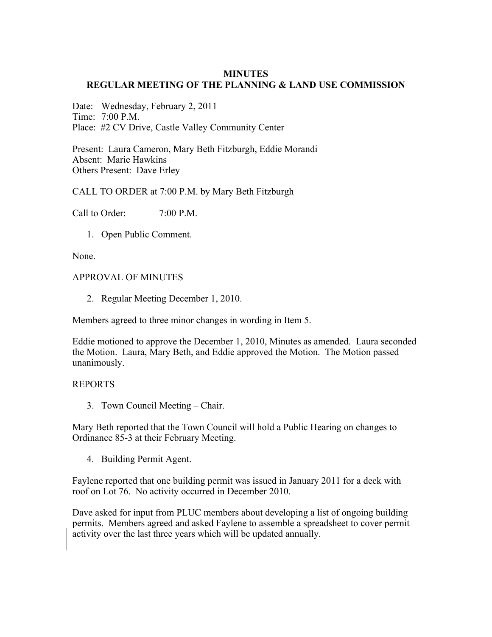### **MINUTES REGULAR MEETING OF THE PLANNING & LAND USE COMMISSION**

Date: Wednesday, February 2, 2011 Time:  $7.00 \text{ P M}$ Place: #2 CV Drive, Castle Valley Community Center

Present: Laura Cameron, Mary Beth Fitzburgh, Eddie Morandi Absent: Marie Hawkins Others Present: Dave Erley

## CALL TO ORDER at 7:00 P.M. by Mary Beth Fitzburgh

Call to Order:  $7:00$  P.M.

1. Open Public Comment.

None.

#### APPROVAL OF MINUTES

2. Regular Meeting December 1, 2010.

Members agreed to three minor changes in wording in Item 5.

Eddie motioned to approve the December 1, 2010, Minutes as amended. Laura seconded the Motion. Laura, Mary Beth, and Eddie approved the Motion. The Motion passed unanimously.

#### REPORTS

3. Town Council Meeting – Chair.

Mary Beth reported that the Town Council will hold a Public Hearing on changes to Ordinance 85-3 at their February Meeting.

4. Building Permit Agent.

Faylene reported that one building permit was issued in January 2011 for a deck with roof on Lot 76. No activity occurred in December 2010.

Dave asked for input from PLUC members about developing a list of ongoing building permits. Members agreed and asked Faylene to assemble a spreadsheet to cover permit activity over the last three years which will be updated annually.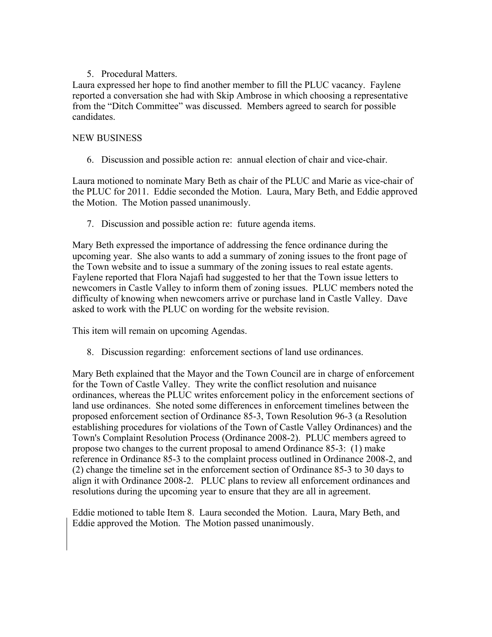# 5. Procedural Matters.

Laura expressed her hope to find another member to fill the PLUC vacancy. Faylene reported a conversation she had with Skip Ambrose in which choosing a representative from the "Ditch Committee" was discussed. Members agreed to search for possible candidates.

## NEW BUSINESS

6. Discussion and possible action re: annual election of chair and vice-chair.

Laura motioned to nominate Mary Beth as chair of the PLUC and Marie as vice-chair of the PLUC for 2011. Eddie seconded the Motion. Laura, Mary Beth, and Eddie approved the Motion. The Motion passed unanimously.

7. Discussion and possible action re: future agenda items.

Mary Beth expressed the importance of addressing the fence ordinance during the upcoming year. She also wants to add a summary of zoning issues to the front page of the Town website and to issue a summary of the zoning issues to real estate agents. Faylene reported that Flora Najafi had suggested to her that the Town issue letters to newcomers in Castle Valley to inform them of zoning issues. PLUC members noted the difficulty of knowing when newcomers arrive or purchase land in Castle Valley. Dave asked to work with the PLUC on wording for the website revision.

This item will remain on upcoming Agendas.

8. Discussion regarding: enforcement sections of land use ordinances.

Mary Beth explained that the Mayor and the Town Council are in charge of enforcement for the Town of Castle Valley. They write the conflict resolution and nuisance ordinances, whereas the PLUC writes enforcement policy in the enforcement sections of land use ordinances. She noted some differences in enforcement timelines between the proposed enforcement section of Ordinance 85-3, Town Resolution 96-3 (a Resolution establishing procedures for violations of the Town of Castle Valley Ordinances) and the Town's Complaint Resolution Process (Ordinance 2008-2). PLUC members agreed to propose two changes to the current proposal to amend Ordinance 85-3: (1) make reference in Ordinance 85-3 to the complaint process outlined in Ordinance 2008-2, and (2) change the timeline set in the enforcement section of Ordinance 85-3 to 30 days to align it with Ordinance 2008-2. PLUC plans to review all enforcement ordinances and resolutions during the upcoming year to ensure that they are all in agreement.

Eddie motioned to table Item 8. Laura seconded the Motion. Laura, Mary Beth, and Eddie approved the Motion. The Motion passed unanimously.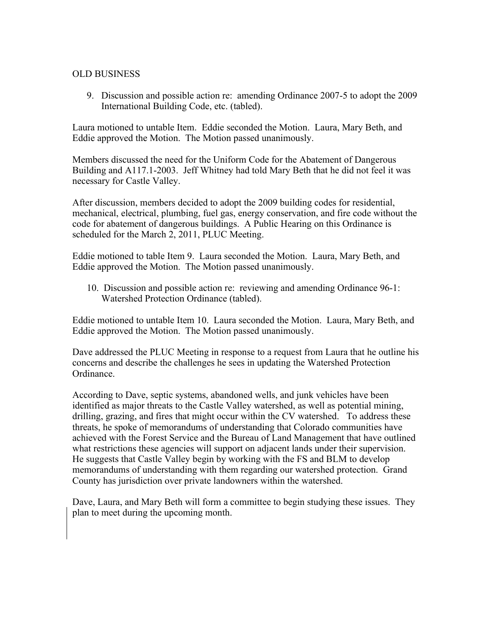## OLD BUSINESS

9. Discussion and possible action re: amending Ordinance 2007-5 to adopt the 2009 International Building Code, etc. (tabled).

Laura motioned to untable Item. Eddie seconded the Motion. Laura, Mary Beth, and Eddie approved the Motion. The Motion passed unanimously.

Members discussed the need for the Uniform Code for the Abatement of Dangerous Building and A117.1-2003. Jeff Whitney had told Mary Beth that he did not feel it was necessary for Castle Valley.

After discussion, members decided to adopt the 2009 building codes for residential, mechanical, electrical, plumbing, fuel gas, energy conservation, and fire code without the code for abatement of dangerous buildings. A Public Hearing on this Ordinance is scheduled for the March 2, 2011, PLUC Meeting.

Eddie motioned to table Item 9. Laura seconded the Motion. Laura, Mary Beth, and Eddie approved the Motion. The Motion passed unanimously.

10. Discussion and possible action re: reviewing and amending Ordinance 96-1: Watershed Protection Ordinance (tabled).

Eddie motioned to untable Item 10. Laura seconded the Motion. Laura, Mary Beth, and Eddie approved the Motion. The Motion passed unanimously.

Dave addressed the PLUC Meeting in response to a request from Laura that he outline his concerns and describe the challenges he sees in updating the Watershed Protection Ordinance.

According to Dave, septic systems, abandoned wells, and junk vehicles have been identified as major threats to the Castle Valley watershed, as well as potential mining, drilling, grazing, and fires that might occur within the CV watershed. To address these threats, he spoke of memorandums of understanding that Colorado communities have achieved with the Forest Service and the Bureau of Land Management that have outlined what restrictions these agencies will support on adjacent lands under their supervision. He suggests that Castle Valley begin by working with the FS and BLM to develop memorandums of understanding with them regarding our watershed protection. Grand County has jurisdiction over private landowners within the watershed.

Dave, Laura, and Mary Beth will form a committee to begin studying these issues. They plan to meet during the upcoming month.